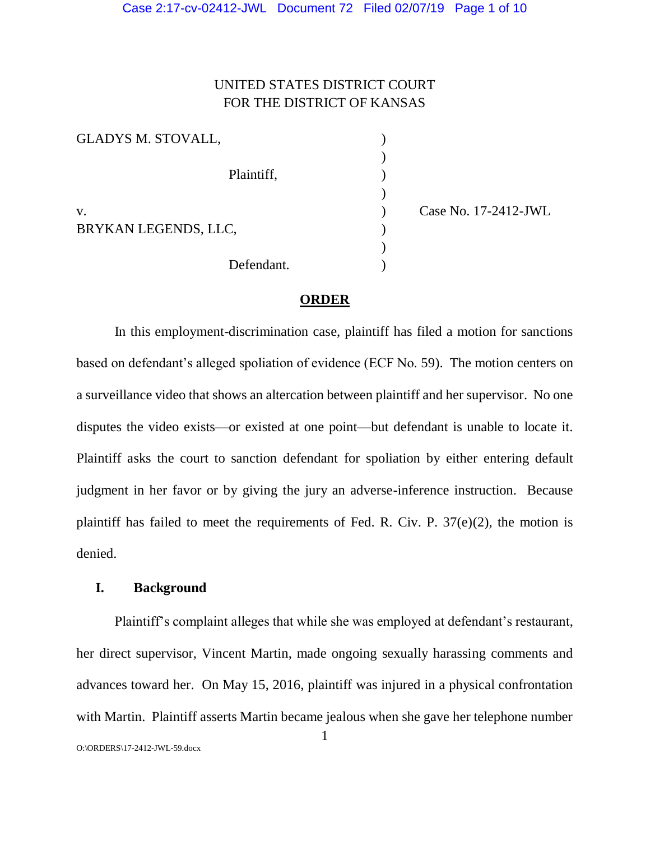# UNITED STATES DISTRICT COURT FOR THE DISTRICT OF KANSAS

| <b>GLADYS M. STOVALL,</b> |            |                      |
|---------------------------|------------|----------------------|
|                           |            |                      |
|                           | Plaintiff, |                      |
|                           |            |                      |
| V.                        |            | Case No. 17-2412-JWL |
| BRYKAN LEGENDS, LLC,      |            |                      |
|                           |            |                      |
|                           | Defendant. |                      |

## **ORDER**

In this employment-discrimination case, plaintiff has filed a motion for sanctions based on defendant's alleged spoliation of evidence (ECF No. 59). The motion centers on a surveillance video that shows an altercation between plaintiff and her supervisor. No one disputes the video exists—or existed at one point—but defendant is unable to locate it. Plaintiff asks the court to sanction defendant for spoliation by either entering default judgment in her favor or by giving the jury an adverse-inference instruction. Because plaintiff has failed to meet the requirements of Fed. R. Civ. P.  $37(e)(2)$ , the motion is denied.

## **I. Background**

Plaintiff's complaint alleges that while she was employed at defendant's restaurant, her direct supervisor, Vincent Martin, made ongoing sexually harassing comments and advances toward her. On May 15, 2016, plaintiff was injured in a physical confrontation with Martin. Plaintiff asserts Martin became jealous when she gave her telephone number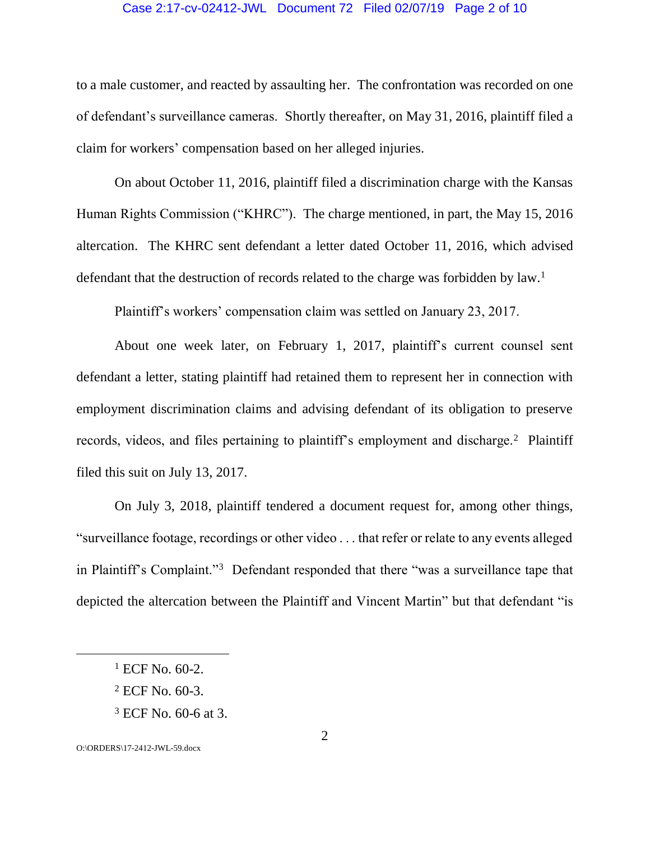#### Case 2:17-cv-02412-JWL Document 72 Filed 02/07/19 Page 2 of 10

to a male customer, and reacted by assaulting her. The confrontation was recorded on one of defendant's surveillance cameras. Shortly thereafter, on May 31, 2016, plaintiff filed a claim for workers' compensation based on her alleged injuries.

On about October 11, 2016, plaintiff filed a discrimination charge with the Kansas Human Rights Commission ("KHRC"). The charge mentioned, in part, the May 15, 2016 altercation. The KHRC sent defendant a letter dated October 11, 2016, which advised defendant that the destruction of records related to the charge was forbidden by law.<sup>1</sup>

Plaintiff's workers' compensation claim was settled on January 23, 2017.

About one week later, on February 1, 2017, plaintiff's current counsel sent defendant a letter, stating plaintiff had retained them to represent her in connection with employment discrimination claims and advising defendant of its obligation to preserve records, videos, and files pertaining to plaintiff's employment and discharge.<sup>2</sup> Plaintiff filed this suit on July 13, 2017.

On July 3, 2018, plaintiff tendered a document request for, among other things, "surveillance footage, recordings or other video . . . that refer or relate to any events alleged in Plaintiff's Complaint."<sup>3</sup> Defendant responded that there "was a surveillance tape that depicted the altercation between the Plaintiff and Vincent Martin" but that defendant "is

<sup>1</sup> ECF No. 60-2.

<sup>2</sup> ECF No. 60-3.

<sup>3</sup> ECF No. 60-6 at 3.

O:\ORDERS\17-2412-JWL-59.docx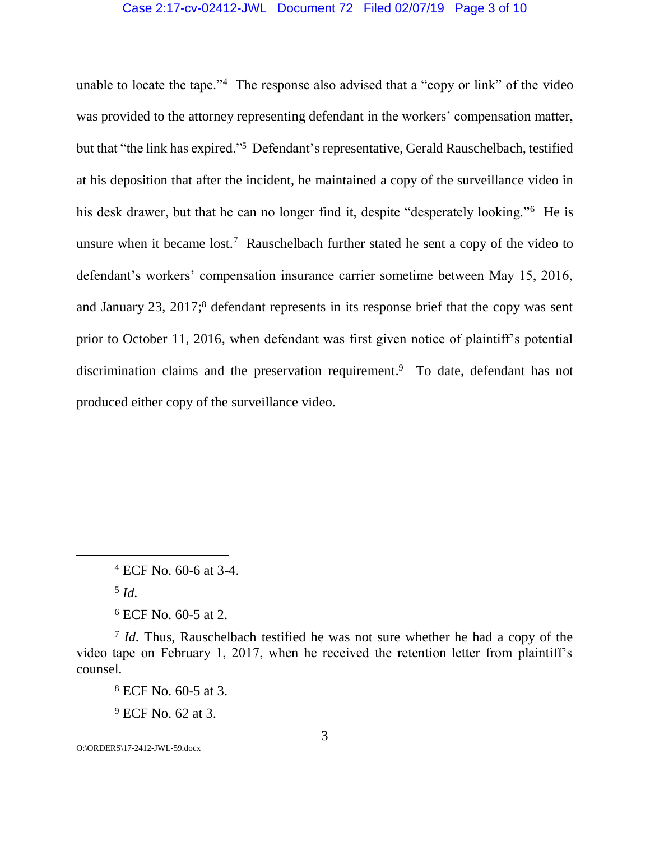### Case 2:17-cv-02412-JWL Document 72 Filed 02/07/19 Page 3 of 10

unable to locate the tape."<sup>4</sup> The response also advised that a "copy or link" of the video was provided to the attorney representing defendant in the workers' compensation matter, but that "the link has expired."<sup>5</sup> Defendant's representative, Gerald Rauschelbach, testified at his deposition that after the incident, he maintained a copy of the surveillance video in his desk drawer, but that he can no longer find it, despite "desperately looking."<sup>6</sup> He is unsure when it became  $\mathrm{lost.}$ <sup>7</sup> Rauschelbach further stated he sent a copy of the video to defendant's workers' compensation insurance carrier sometime between May 15, 2016, and January 23, 2017; <sup>8</sup> defendant represents in its response brief that the copy was sent prior to October 11, 2016, when defendant was first given notice of plaintiff's potential discrimination claims and the preservation requirement.<sup>9</sup> To date, defendant has not produced either copy of the surveillance video.

<sup>8</sup> ECF No. 60-5 at 3.

<sup>9</sup> ECF No. 62 at 3.

O:\ORDERS\17-2412-JWL-59.docx

<sup>4</sup> ECF No. 60-6 at 3-4.

<sup>5</sup> *Id.*

<sup>6</sup> ECF No. 60-5 at 2.

<sup>&</sup>lt;sup>7</sup> *Id.* Thus, Rauschelbach testified he was not sure whether he had a copy of the video tape on February 1, 2017, when he received the retention letter from plaintiff's counsel.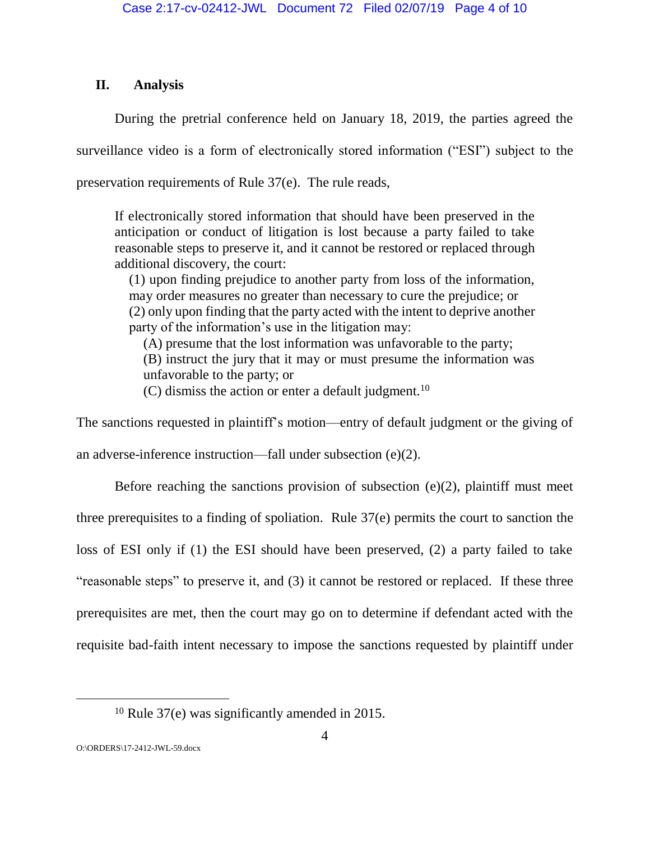# **II. Analysis**

During the pretrial conference held on January 18, 2019, the parties agreed the surveillance video is a form of electronically stored information ("ESI") subject to the preservation requirements of Rule 37(e). The rule reads,

If electronically stored information that should have been preserved in the anticipation or conduct of litigation is lost because a party failed to take reasonable steps to preserve it, and it cannot be restored or replaced through additional discovery, the court:

(1) upon finding prejudice to another party from loss of the information, may order measures no greater than necessary to cure the prejudice; or (2) only upon finding that the party acted with the intent to deprive another party of the information's use in the litigation may:

(A) presume that the lost information was unfavorable to the party; (B) instruct the jury that it may or must presume the information was unfavorable to the party; or

 $(C)$  dismiss the action or enter a default judgment.<sup>10</sup>

The sanctions requested in plaintiff's motion—entry of default judgment or the giving of

an adverse-inference instruction—fall under subsection (e)(2).

Before reaching the sanctions provision of subsection  $(e)(2)$ , plaintiff must meet three prerequisites to a finding of spoliation. Rule 37(e) permits the court to sanction the loss of ESI only if (1) the ESI should have been preserved, (2) a party failed to take "reasonable steps" to preserve it, and (3) it cannot be restored or replaced. If these three prerequisites are met, then the court may go on to determine if defendant acted with the requisite bad-faith intent necessary to impose the sanctions requested by plaintiff under

<sup>10</sup> Rule 37(e) was significantly amended in 2015.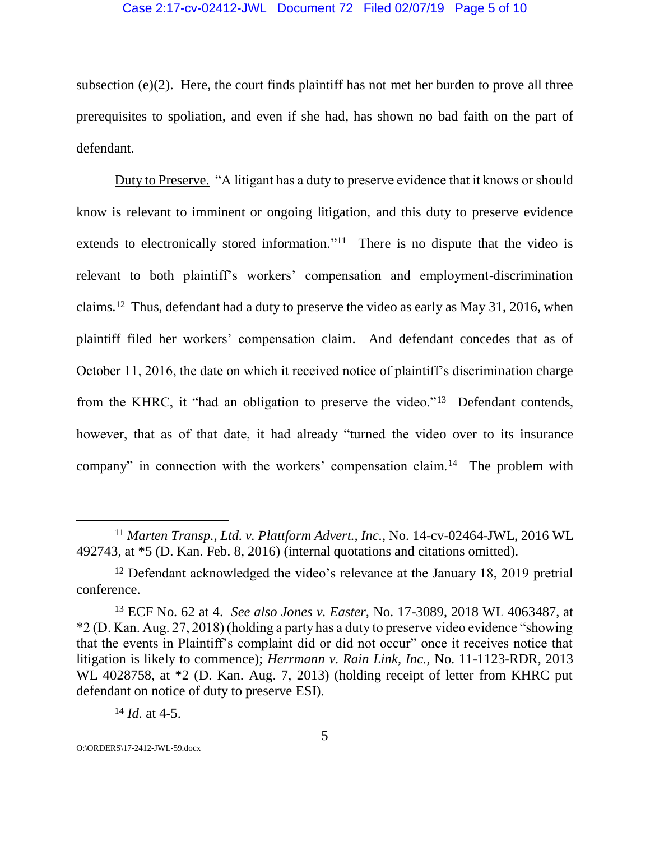### Case 2:17-cv-02412-JWL Document 72 Filed 02/07/19 Page 5 of 10

subsection  $(e)(2)$ . Here, the court finds plaintiff has not met her burden to prove all three prerequisites to spoliation, and even if she had, has shown no bad faith on the part of defendant.

Duty to Preserve. "A litigant has a duty to preserve evidence that it knows or should know is relevant to imminent or ongoing litigation, and this duty to preserve evidence extends to electronically stored information."<sup>11</sup> There is no dispute that the video is relevant to both plaintiff's workers' compensation and employment-discrimination claims.<sup>12</sup> Thus, defendant had a duty to preserve the video as early as May 31, 2016, when plaintiff filed her workers' compensation claim. And defendant concedes that as of October 11, 2016, the date on which it received notice of plaintiff's discrimination charge from the KHRC, it "had an obligation to preserve the video."<sup>13</sup> Defendant contends, however, that as of that date, it had already "turned the video over to its insurance company" in connection with the workers' compensation claim.<sup>14</sup> The problem with

<sup>11</sup> *Marten Transp., Ltd. v. Plattform Advert., Inc.,* No. 14-cv-02464-JWL, 2016 WL 492743, at \*5 (D. Kan. Feb. 8, 2016) (internal quotations and citations omitted).

<sup>&</sup>lt;sup>12</sup> Defendant acknowledged the video's relevance at the January 18, 2019 pretrial conference.

<sup>13</sup> ECF No. 62 at 4. *See also Jones v. Easter,* No. 17-3089, 2018 WL 4063487, at \*2 (D. Kan. Aug. 27, 2018) (holding a party has a duty to preserve video evidence "showing that the events in Plaintiff's complaint did or did not occur" once it receives notice that litigation is likely to commence); *Herrmann v. Rain Link, Inc.*, No. 11-1123-RDR, 2013 WL 4028758, at \*2 (D. Kan. Aug. 7, 2013) (holding receipt of letter from KHRC put defendant on notice of duty to preserve ESI).

<sup>14</sup> *Id.* at 4-5.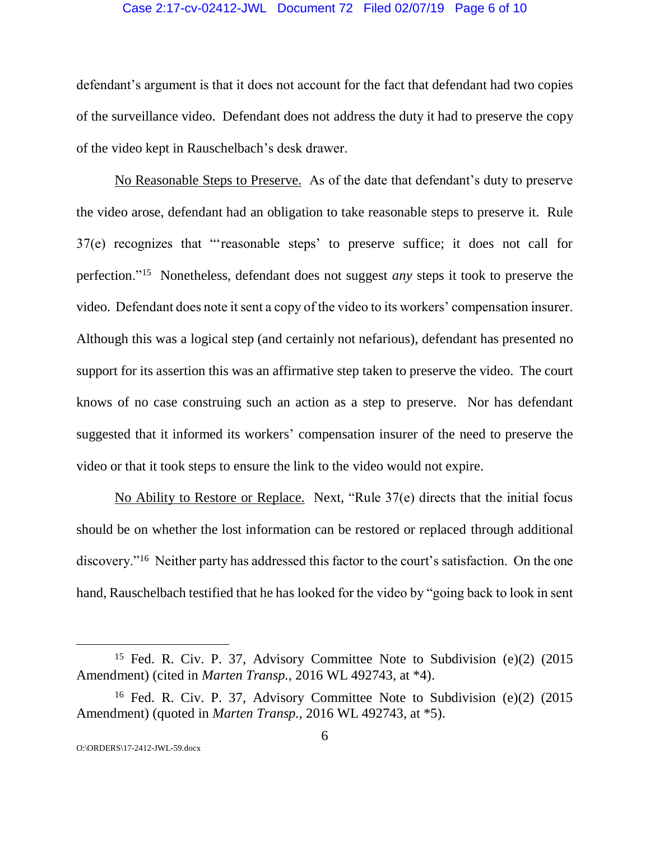### Case 2:17-cv-02412-JWL Document 72 Filed 02/07/19 Page 6 of 10

defendant's argument is that it does not account for the fact that defendant had two copies of the surveillance video. Defendant does not address the duty it had to preserve the copy of the video kept in Rauschelbach's desk drawer.

No Reasonable Steps to Preserve. As of the date that defendant's duty to preserve the video arose, defendant had an obligation to take reasonable steps to preserve it. Rule 37(e) recognizes that "'reasonable steps' to preserve suffice; it does not call for perfection."<sup>15</sup> Nonetheless, defendant does not suggest *any* steps it took to preserve the video. Defendant does note it sent a copy of the video to its workers' compensation insurer. Although this was a logical step (and certainly not nefarious), defendant has presented no support for its assertion this was an affirmative step taken to preserve the video. The court knows of no case construing such an action as a step to preserve. Nor has defendant suggested that it informed its workers' compensation insurer of the need to preserve the video or that it took steps to ensure the link to the video would not expire.

No Ability to Restore or Replace. Next, "Rule 37(e) directs that the initial focus should be on whether the lost information can be restored or replaced through additional discovery."<sup>16</sup> Neither party has addressed this factor to the court's satisfaction. On the one hand, Rauschelbach testified that he has looked for the video by "going back to look in sent

<sup>&</sup>lt;sup>15</sup> Fed. R. Civ. P. 37, Advisory Committee Note to Subdivision (e)(2) (2015 Amendment) (cited in *Marten Transp.*, 2016 WL 492743, at \*4).

<sup>&</sup>lt;sup>16</sup> Fed. R. Civ. P. 37, Advisory Committee Note to Subdivision (e)(2) (2015) Amendment) (quoted in *Marten Transp.,* 2016 WL 492743, at \*5).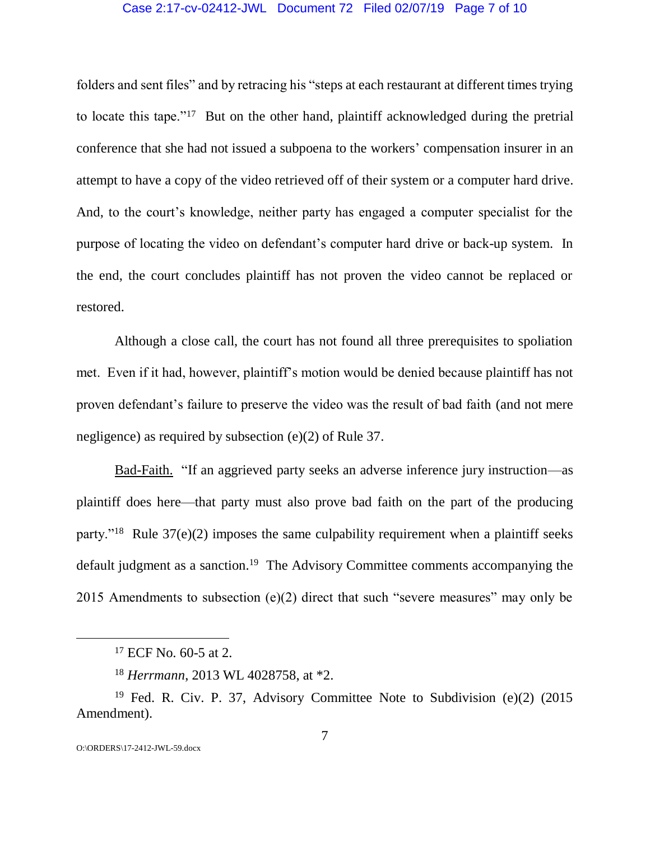#### Case 2:17-cv-02412-JWL Document 72 Filed 02/07/19 Page 7 of 10

folders and sent files" and by retracing his "steps at each restaurant at different times trying to locate this tape."<sup>17</sup> But on the other hand, plaintiff acknowledged during the pretrial conference that she had not issued a subpoena to the workers' compensation insurer in an attempt to have a copy of the video retrieved off of their system or a computer hard drive. And, to the court's knowledge, neither party has engaged a computer specialist for the purpose of locating the video on defendant's computer hard drive or back-up system. In the end, the court concludes plaintiff has not proven the video cannot be replaced or restored.

Although a close call, the court has not found all three prerequisites to spoliation met. Even if it had, however, plaintiff's motion would be denied because plaintiff has not proven defendant's failure to preserve the video was the result of bad faith (and not mere negligence) as required by subsection (e)(2) of Rule 37.

Bad-Faith. "If an aggrieved party seeks an adverse inference jury instruction—as plaintiff does here—that party must also prove bad faith on the part of the producing party."<sup>18</sup> Rule 37(e)(2) imposes the same culpability requirement when a plaintiff seeks default judgment as a sanction.<sup>19</sup> The Advisory Committee comments accompanying the 2015 Amendments to subsection (e)(2) direct that such "severe measures" may only be

<sup>17</sup> ECF No. 60-5 at 2.

<sup>18</sup> *Herrmann*, 2013 WL 4028758, at \*2.

<sup>&</sup>lt;sup>19</sup> Fed. R. Civ. P. 37, Advisory Committee Note to Subdivision (e)(2) (2015 Amendment).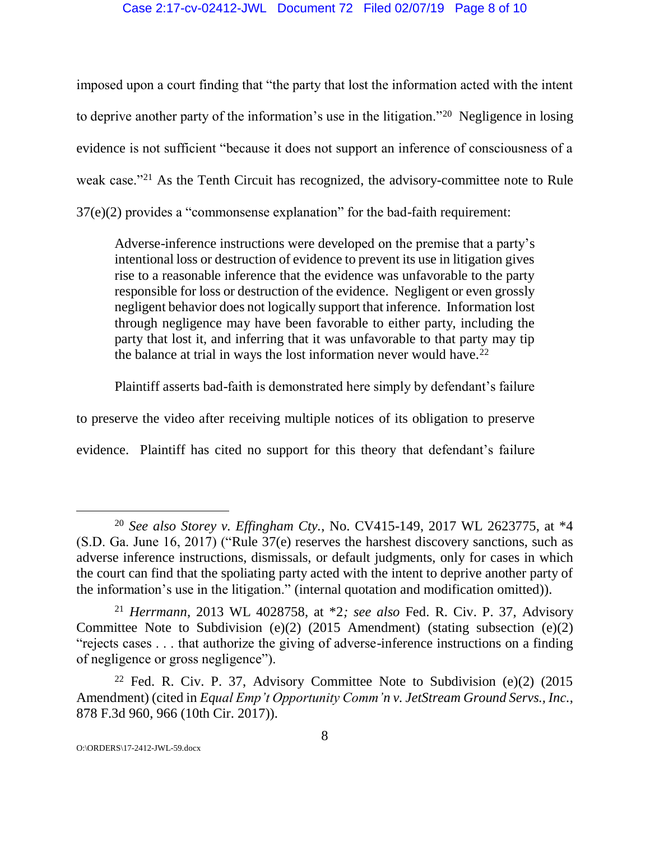imposed upon a court finding that "the party that lost the information acted with the intent to deprive another party of the information's use in the litigation."<sup>20</sup> Negligence in losing evidence is not sufficient "because it does not support an inference of consciousness of a weak case."<sup>21</sup> As the Tenth Circuit has recognized, the advisory-committee note to Rule 37(e)(2) provides a "commonsense explanation" for the bad-faith requirement:

Adverse-inference instructions were developed on the premise that a party's intentional loss or destruction of evidence to prevent its use in litigation gives rise to a reasonable inference that the evidence was unfavorable to the party responsible for loss or destruction of the evidence. Negligent or even grossly negligent behavior does not logically support that inference. Information lost through negligence may have been favorable to either party, including the party that lost it, and inferring that it was unfavorable to that party may tip the balance at trial in ways the lost information never would have.<sup>22</sup>

Plaintiff asserts bad-faith is demonstrated here simply by defendant's failure

to preserve the video after receiving multiple notices of its obligation to preserve

evidence. Plaintiff has cited no support for this theory that defendant's failure

<sup>20</sup> *See also Storey v. Effingham Cty.*, No. CV415-149, 2017 WL 2623775, at \*4 (S.D. Ga. June 16, 2017) ("Rule 37(e) reserves the harshest discovery sanctions, such as adverse inference instructions, dismissals, or default judgments, only for cases in which the court can find that the spoliating party acted with the intent to deprive another party of the information's use in the litigation." (internal quotation and modification omitted)).

<sup>21</sup> *Herrmann*, 2013 WL 4028758, at \*2*; see also* Fed. R. Civ. P. 37, Advisory Committee Note to Subdivision (e)(2) (2015 Amendment) (stating subsection (e)(2) "rejects cases . . . that authorize the giving of adverse-inference instructions on a finding of negligence or gross negligence").

<sup>&</sup>lt;sup>22</sup> Fed. R. Civ. P. 37, Advisory Committee Note to Subdivision (e)(2) (2015 Amendment) (cited in *Equal Emp't Opportunity Comm'n v. JetStream Ground Servs., Inc.*, 878 F.3d 960, 966 (10th Cir. 2017)).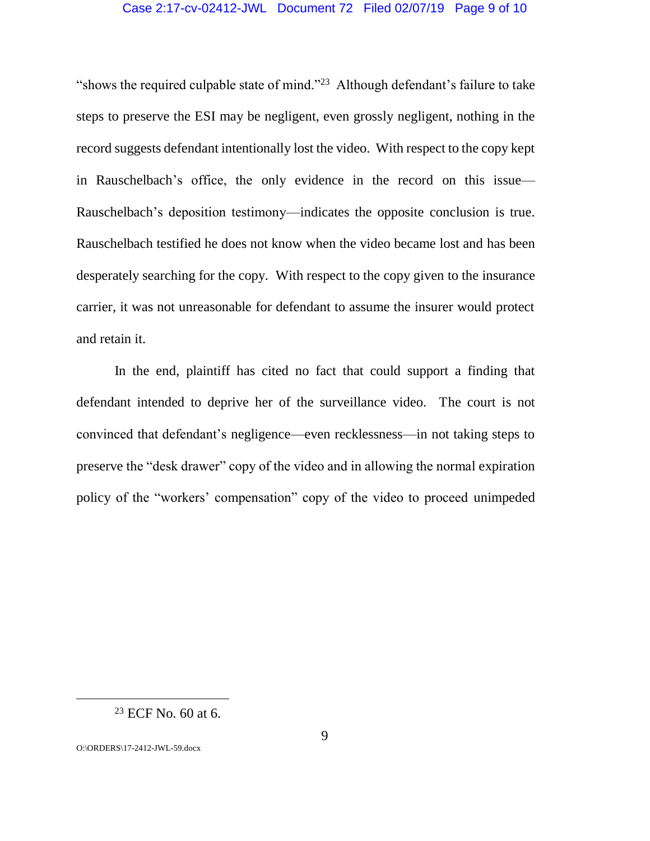### Case 2:17-cv-02412-JWL Document 72 Filed 02/07/19 Page 9 of 10

"shows the required culpable state of mind."<sup>23</sup> Although defendant's failure to take steps to preserve the ESI may be negligent, even grossly negligent, nothing in the record suggests defendant intentionally lost the video. With respect to the copy kept in Rauschelbach's office, the only evidence in the record on this issue— Rauschelbach's deposition testimony—indicates the opposite conclusion is true. Rauschelbach testified he does not know when the video became lost and has been desperately searching for the copy. With respect to the copy given to the insurance carrier, it was not unreasonable for defendant to assume the insurer would protect and retain it.

In the end, plaintiff has cited no fact that could support a finding that defendant intended to deprive her of the surveillance video. The court is not convinced that defendant's negligence—even recklessness—in not taking steps to preserve the "desk drawer" copy of the video and in allowing the normal expiration policy of the "workers' compensation" copy of the video to proceed unimpeded

O:\ORDERS\17-2412-JWL-59.docx

<sup>23</sup> ECF No. 60 at 6.